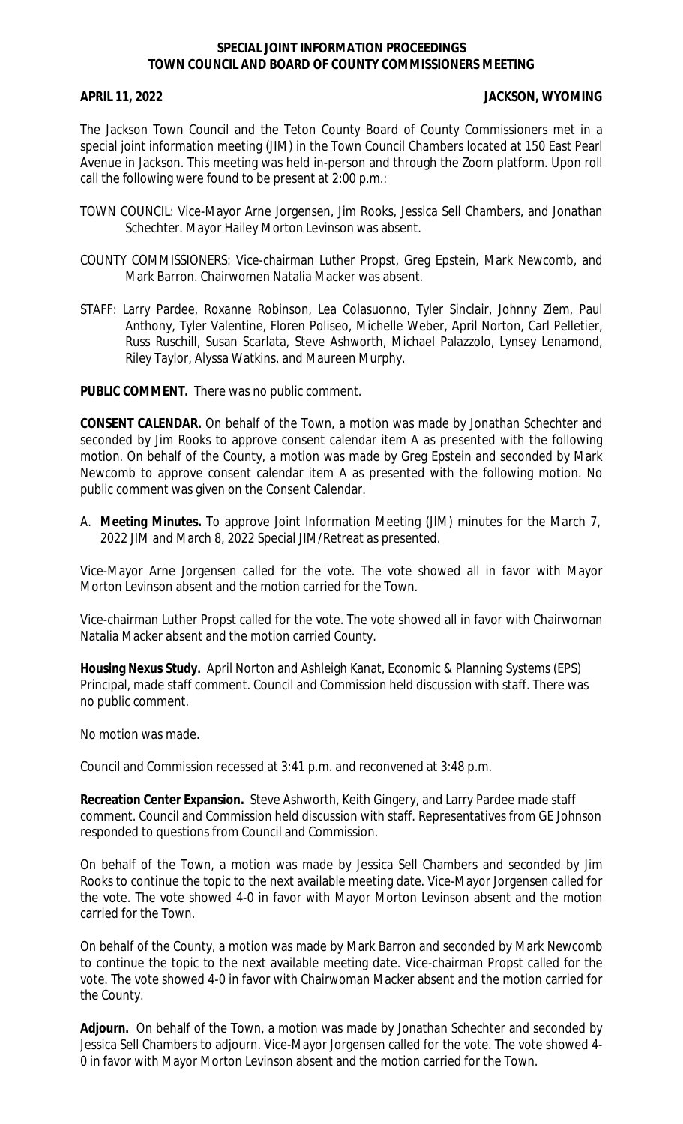## **SPECIAL JOINT INFORMATION PROCEEDINGS TOWN COUNCIL AND BOARD OF COUNTY COMMISSIONERS MEETING**

## **APRIL 11, 2022 JACKSON, WYOMING**

The Jackson Town Council and the Teton County Board of County Commissioners met in a special joint information meeting (JIM) in the Town Council Chambers located at 150 East Pearl Avenue in Jackson. This meeting was held in-person and through the Zoom platform. Upon roll call the following were found to be present at 2:00 p.m.:

- TOWN COUNCIL: Vice-Mayor Arne Jorgensen, Jim Rooks, Jessica Sell Chambers, and Jonathan Schechter. Mayor Hailey Morton Levinson was absent.
- COUNTY COMMISSIONERS: Vice-chairman Luther Propst, Greg Epstein, Mark Newcomb, and Mark Barron. Chairwomen Natalia Macker was absent.
- STAFF: Larry Pardee, Roxanne Robinson, Lea Colasuonno, Tyler Sinclair, Johnny Ziem, Paul Anthony, Tyler Valentine, Floren Poliseo, Michelle Weber, April Norton, Carl Pelletier, Russ Ruschill, Susan Scarlata, Steve Ashworth, Michael Palazzolo, Lynsey Lenamond, Riley Taylor, Alyssa Watkins, and Maureen Murphy.

**PUBLIC COMMENT.** There was no public comment.

**CONSENT CALENDAR.** On behalf of the Town, a motion was made by Jonathan Schechter and seconded by Jim Rooks to approve consent calendar item A as presented with the following motion. On behalf of the County, a motion was made by Greg Epstein and seconded by Mark Newcomb to approve consent calendar item A as presented with the following motion. No public comment was given on the Consent Calendar.

A. **Meeting Minutes.** To approve Joint Information Meeting (JIM) minutes for the March 7, 2022 JIM and March 8, 2022 Special JIM/Retreat as presented.

Vice-Mayor Arne Jorgensen called for the vote. The vote showed all in favor with Mayor Morton Levinson absent and the motion carried for the Town.

Vice-chairman Luther Propst called for the vote. The vote showed all in favor with Chairwoman Natalia Macker absent and the motion carried County.

**Housing Nexus Study.** April Norton and Ashleigh Kanat, Economic & Planning Systems (EPS) Principal, made staff comment. Council and Commission held discussion with staff. There was no public comment.

No motion was made.

Council and Commission recessed at 3:41 p.m. and reconvened at 3:48 p.m.

**Recreation Center Expansion.** Steve Ashworth, Keith Gingery, and Larry Pardee made staff comment. Council and Commission held discussion with staff. Representatives from GE Johnson responded to questions from Council and Commission.

On behalf of the Town, a motion was made by Jessica Sell Chambers and seconded by Jim Rooks to continue the topic to the next available meeting date. Vice-Mayor Jorgensen called for the vote. The vote showed 4-0 in favor with Mayor Morton Levinson absent and the motion carried for the Town.

On behalf of the County, a motion was made by Mark Barron and seconded by Mark Newcomb to continue the topic to the next available meeting date. Vice-chairman Propst called for the vote. The vote showed 4-0 in favor with Chairwoman Macker absent and the motion carried for the County.

**Adjourn.** On behalf of the Town, a motion was made by Jonathan Schechter and seconded by Jessica Sell Chambers to adjourn. Vice-Mayor Jorgensen called for the vote. The vote showed 4- 0 in favor with Mayor Morton Levinson absent and the motion carried for the Town.